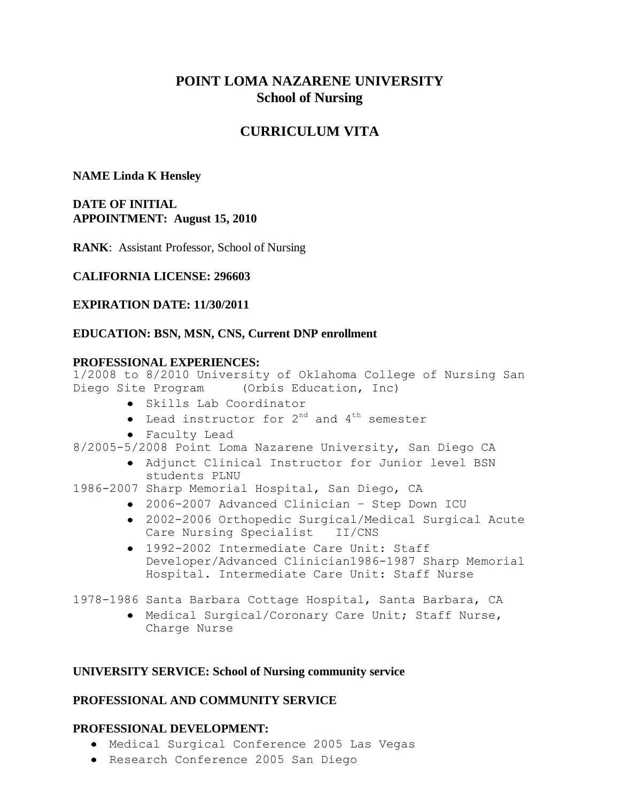# **POINT LOMA NAZARENE UNIVERSITY School of Nursing**

# **CURRICULUM VITA**

## **NAME Linda K Hensley**

**DATE OF INITIAL APPOINTMENT: August 15, 2010**

**RANK**: Assistant Professor, School of Nursing

## **CALIFORNIA LICENSE: 296603**

## **EXPIRATION DATE: 11/30/2011**

## **EDUCATION: BSN, MSN, CNS, Current DNP enrollment**

#### **PROFESSIONAL EXPERIENCES:**

1/2008 to 8/2010 University of Oklahoma College of Nursing San Diego Site Program (Orbis Education, Inc)

- Skills Lab Coordinator
- Lead instructor for  $2^{nd}$  and  $4^{th}$  semester
- Faculty Lead
- 8/2005-5/2008 Point Loma Nazarene University, San Diego CA
	- Adjunct Clinical Instructor for Junior level BSN students PLNU
- 1986-2007 Sharp Memorial Hospital, San Diego, CA
	- 2006-2007 Advanced Clinician Step Down ICU
	- 2002-2006 Orthopedic Surgical/Medical Surgical Acute Care Nursing Specialist II/CNS
	- 1992-2002 Intermediate Care Unit: Staff Developer/Advanced Clinician1986-1987 Sharp Memorial Hospital. Intermediate Care Unit: Staff Nurse

1978-1986 Santa Barbara Cottage Hospital, Santa Barbara, CA

Medical Surgical/Coronary Care Unit; Staff Nurse, Charge Nurse

#### **UNIVERSITY SERVICE: School of Nursing community service**

#### **PROFESSIONAL AND COMMUNITY SERVICE**

## **PROFESSIONAL DEVELOPMENT:**

- Medical Surgical Conference 2005 Las Vegas
- Research Conference 2005 San Diego